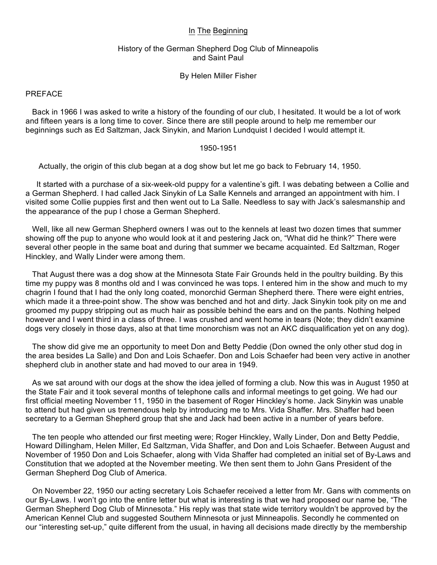# In The Beginning

# History of the German Shepherd Dog Club of Minneapolis and Saint Paul

By Helen Miller Fisher

# PREFACE

 Back in 1966 I was asked to write a history of the founding of our club, I hesitated. It would be a lot of work and fifteen years is a long time to cover. Since there are still people around to help me remember our beginnings such as Ed Saltzman, Jack Sinykin, and Marion Lundquist I decided I would attempt it.

# 1950-1951

Actually, the origin of this club began at a dog show but let me go back to February 14, 1950.

 It started with a purchase of a six-week-old puppy for a valentine's gift. I was debating between a Collie and a German Shepherd. I had called Jack Sinykin of La Salle Kennels and arranged an appointment with him. I visited some Collie puppies first and then went out to La Salle. Needless to say with Jack's salesmanship and the appearance of the pup I chose a German Shepherd.

 Well, like all new German Shepherd owners I was out to the kennels at least two dozen times that summer showing off the pup to anyone who would look at it and pestering Jack on, "What did he think?" There were several other people in the same boat and during that summer we became acquainted. Ed Saltzman, Roger Hinckley, and Wally Linder were among them.

 That August there was a dog show at the Minnesota State Fair Grounds held in the poultry building. By this time my puppy was 8 months old and I was convinced he was tops. I entered him in the show and much to my chagrin I found that I had the only long coated, monorchid German Shepherd there. There were eight entries, which made it a three-point show. The show was benched and hot and dirty. Jack Sinykin took pity on me and groomed my puppy stripping out as much hair as possible behind the ears and on the pants. Nothing helped however and I went third in a class of three. I was crushed and went home in tears (Note; they didn't examine dogs very closely in those days, also at that time monorchism was not an AKC disqualification yet on any dog).

 The show did give me an opportunity to meet Don and Betty Peddie (Don owned the only other stud dog in the area besides La Salle) and Don and Lois Schaefer. Don and Lois Schaefer had been very active in another shepherd club in another state and had moved to our area in 1949.

 As we sat around with our dogs at the show the idea jelled of forming a club. Now this was in August 1950 at the State Fair and it took several months of telephone calls and informal meetings to get going. We had our first official meeting November 11, 1950 in the basement of Roger Hinckley's home. Jack Sinykin was unable to attend but had given us tremendous help by introducing me to Mrs. Vida Shaffer. Mrs. Shaffer had been secretary to a German Shepherd group that she and Jack had been active in a number of years before.

 The ten people who attended our first meeting were; Roger Hinckley, Wally Linder, Don and Betty Peddie, Howard Dillingham, Helen Miller, Ed Saltzman, Vida Shaffer, and Don and Lois Schaefer. Between August and November of 1950 Don and Lois Schaefer, along with Vida Shaffer had completed an initial set of By-Laws and Constitution that we adopted at the November meeting. We then sent them to John Gans President of the German Shepherd Dog Club of America.

 On November 22, 1950 our acting secretary Lois Schaefer received a letter from Mr. Gans with comments on our By-Laws. I won't go into the entire letter but what is interesting is that we had proposed our name be, "The German Shepherd Dog Club of Minnesota." His reply was that state wide territory wouldn't be approved by the American Kennel Club and suggested Southern Minnesota or just Minneapolis. Secondly he commented on our "interesting set-up," quite different from the usual, in having all decisions made directly by the membership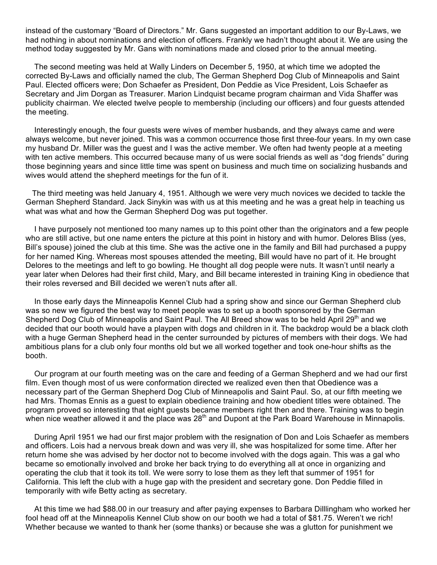instead of the customary "Board of Directors." Mr. Gans suggested an important addition to our By-Laws, we had nothing in about nominations and election of officers. Frankly we hadn't thought about it. We are using the method today suggested by Mr. Gans with nominations made and closed prior to the annual meeting.

 The second meeting was held at Wally Linders on December 5, 1950, at which time we adopted the corrected By-Laws and officially named the club, The German Shepherd Dog Club of Minneapolis and Saint Paul. Elected officers were; Don Schaefer as President, Don Peddie as Vice President, Lois Schaefer as Secretary and Jim Dorgan as Treasurer. Marion Lindquist became program chairman and Vida Shaffer was publicity chairman. We elected twelve people to membership (including our officers) and four guests attended the meeting.

 Interestingly enough, the four guests were wives of member husbands, and they always came and were always welcome, but never joined. This was a common occurrence those first three-four years. In my own case my husband Dr. Miller was the guest and I was the active member. We often had twenty people at a meeting with ten active members. This occurred because many of us were social friends as well as "dog friends" during those beginning years and since little time was spent on business and much time on socializing husbands and wives would attend the shepherd meetings for the fun of it.

 The third meeting was held January 4, 1951. Although we were very much novices we decided to tackle the German Shepherd Standard. Jack Sinykin was with us at this meeting and he was a great help in teaching us what was what and how the German Shepherd Dog was put together.

 I have purposely not mentioned too many names up to this point other than the originators and a few people who are still active, but one name enters the picture at this point in history and with humor. Delores Bliss (yes, Bill's spouse) joined the club at this time. She was the active one in the family and Bill had purchased a puppy for her named King. Whereas most spouses attended the meeting, Bill would have no part of it. He brought Delores to the meetings and left to go bowling. He thought all dog people were nuts. It wasn't until nearly a year later when Delores had their first child, Mary, and Bill became interested in training King in obedience that their roles reversed and Bill decided we weren't nuts after all.

 In those early days the Minneapolis Kennel Club had a spring show and since our German Shepherd club was so new we figured the best way to meet people was to set up a booth sponsored by the German Shepherd Dog Club of Minneapolis and Saint Paul. The All Breed show was to be held April 29<sup>th</sup> and we decided that our booth would have a playpen with dogs and children in it. The backdrop would be a black cloth with a huge German Shepherd head in the center surrounded by pictures of members with their dogs. We had ambitious plans for a club only four months old but we all worked together and took one-hour shifts as the booth.

 Our program at our fourth meeting was on the care and feeding of a German Shepherd and we had our first film. Even though most of us were conformation directed we realized even then that Obedience was a necessary part of the German Shepherd Dog Club of Minneapolis and Saint Paul. So, at our fifth meeting we had Mrs. Thomas Ennis as a guest to explain obedience training and how obedient titles were obtained. The program proved so interesting that eight guests became members right then and there. Training was to begin when nice weather allowed it and the place was  $28<sup>th</sup>$  and Dupont at the Park Board Warehouse in Minnapolis.

 During April 1951 we had our first major problem with the resignation of Don and Lois Schaefer as members and officers. Lois had a nervous break down and was very ill, she was hospitalized for some time. After her return home she was advised by her doctor not to become involved with the dogs again. This was a gal who became so emotionally involved and broke her back trying to do everything all at once in organizing and operating the club that it took its toll. We were sorry to lose them as they left that summer of 1951 for California. This left the club with a huge gap with the president and secretary gone. Don Peddie filled in temporarily with wife Betty acting as secretary.

 At this time we had \$88.00 in our treasury and after paying expenses to Barbara Dilllingham who worked her fool head off at the Minneapolis Kennel Club show on our booth we had a total of \$81.75. Weren't we rich! Whether because we wanted to thank her (some thanks) or because she was a glutton for punishment we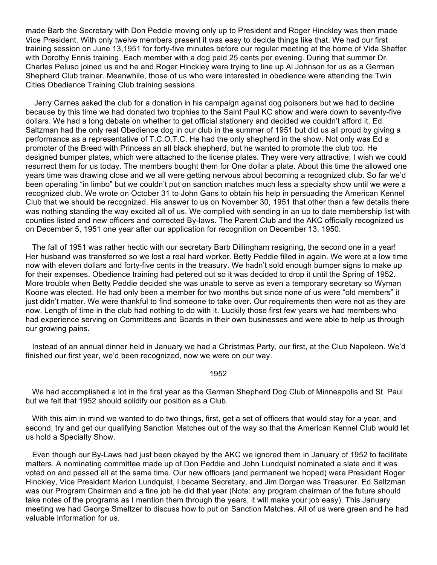made Barb the Secretary with Don Peddie moving only up to President and Roger Hinckley was then made Vice President. With only twelve members present it was easy to decide things like that. We had our first training session on June 13,1951 for forty-five minutes before our regular meeting at the home of Vida Shaffer with Dorothy Ennis training. Each member with a dog paid 25 cents per evening. During that summer Dr. Charles Peluso joined us and he and Roger Hinckley were trying to line up Al Johnson for us as a German Shepherd Club trainer. Meanwhile, those of us who were interested in obedience were attending the Twin Cities Obedience Training Club training sessions.

 Jerry Carnes asked the club for a donation in his campaign against dog poisoners but we had to decline because by this time we had donated two trophies to the Saint Paul KC show and were down to seventy-five dollars. We had a long debate on whether to get official stationery and decided we couldn't afford it. Ed Saltzman had the only real Obedience dog in our club in the summer of 1951 but did us all proud by giving a performance as a representative of T.C.O.T.C. He had the only shepherd in the show. Not only was Ed a promoter of the Breed with Princess an all black shepherd, but he wanted to promote the club too. He designed bumper plates, which were attached to the license plates. They were very attractive; I wish we could resurrect them for us today. The members bought them for One dollar a plate. About this time the allowed one years time was drawing close and we all were getting nervous about becoming a recognized club. So far we'd been operating "in limbo" but we couldn't put on sanction matches much less a specialty show until we were a recognized club. We wrote on October 31 to John Gans to obtain his help in persuading the American Kennel Club that we should be recognized. His answer to us on November 30, 1951 that other than a few details there was nothing standing the way excited all of us. We complied with sending in an up to date membership list with counties listed and new officers and corrected By-laws. The Parent Club and the AKC officially recognized us on December 5, 1951 one year after our application for recognition on December 13, 1950.

 The fall of 1951 was rather hectic with our secretary Barb Dillingham resigning, the second one in a year! Her husband was transferred so we lost a real hard worker. Betty Peddie filled in again. We were at a low time now with eleven dollars and forty-five cents in the treasury. We hadn't sold enough bumper signs to make up for their expenses. Obedience training had petered out so it was decided to drop it until the Spring of 1952. More trouble when Betty Peddie decided she was unable to serve as even a temporary secretary so Wyman Koone was elected. He had only been a member for two months but since none of us were "old members" it just didn't matter. We were thankful to find someone to take over. Our requirements then were not as they are now. Length of time in the club had nothing to do with it. Luckily those first few years we had members who had experience serving on Committees and Boards in their own businesses and were able to help us through our growing pains.

 Instead of an annual dinner held in January we had a Christmas Party, our first, at the Club Napoleon. We'd finished our first year, we'd been recognized, now we were on our way.

## 1952

 We had accomplished a lot in the first year as the German Shepherd Dog Club of Minneapolis and St. Paul but we felt that 1952 should solidify our position as a Club.

 With this aim in mind we wanted to do two things, first, get a set of officers that would stay for a year, and second, try and get our qualifying Sanction Matches out of the way so that the American Kennel Club would let us hold a Specialty Show.

 Even though our By-Laws had just been okayed by the AKC we ignored them in January of 1952 to facilitate matters. A nominating committee made up of Don Peddie and John Lundquist nominated a slate and it was voted on and passed all at the same time. Our new officers (and permanent we hoped) were President Roger Hinckley, Vice President Marion Lundquist, I became Secretary, and Jim Dorgan was Treasurer. Ed Saltzman was our Program Chairman and a fine job he did that year (Note: any program chairman of the future should take notes of the programs as I mention them through the years, it will make your job easy). This January meeting we had George Smeltzer to discuss how to put on Sanction Matches. All of us were green and he had valuable information for us.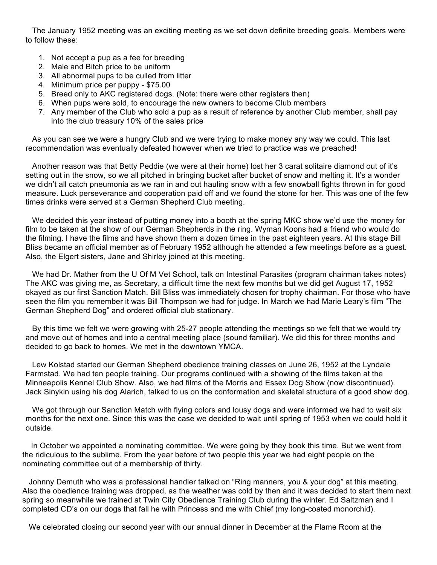The January 1952 meeting was an exciting meeting as we set down definite breeding goals. Members were to follow these:

- 1. Not accept a pup as a fee for breeding
- 2. Male and Bitch price to be uniform
- 3. All abnormal pups to be culled from litter
- 4. Minimum price per puppy \$75.00
- 5. Breed only to AKC registered dogs. (Note: there were other registers then)
- 6. When pups were sold, to encourage the new owners to become Club members
- 7. Any member of the Club who sold a pup as a result of reference by another Club member, shall pay into the club treasury 10% of the sales price

 As you can see we were a hungry Club and we were trying to make money any way we could. This last recommendation was eventually defeated however when we tried to practice was we preached!

 Another reason was that Betty Peddie (we were at their home) lost her 3 carat solitaire diamond out of it's setting out in the snow, so we all pitched in bringing bucket after bucket of snow and melting it. It's a wonder we didn't all catch pneumonia as we ran in and out hauling snow with a few snowball fights thrown in for good measure. Luck perseverance and cooperation paid off and we found the stone for her. This was one of the few times drinks were served at a German Shepherd Club meeting.

 We decided this year instead of putting money into a booth at the spring MKC show we'd use the money for film to be taken at the show of our German Shepherds in the ring. Wyman Koons had a friend who would do the filming. I have the films and have shown them a dozen times in the past eighteen years. At this stage Bill Bliss became an official member as of February 1952 although he attended a few meetings before as a guest. Also, the Elgert sisters, Jane and Shirley joined at this meeting.

 We had Dr. Mather from the U Of M Vet School, talk on Intestinal Parasites (program chairman takes notes) The AKC was giving me, as Secretary, a difficult time the next few months but we did get August 17, 1952 okayed as our first Sanction Match. Bill Bliss was immediately chosen for trophy chairman. For those who have seen the film you remember it was Bill Thompson we had for judge. In March we had Marie Leary's film "The German Shepherd Dog" and ordered official club stationary.

 By this time we felt we were growing with 25-27 people attending the meetings so we felt that we would try and move out of homes and into a central meeting place (sound familiar). We did this for three months and decided to go back to homes. We met in the downtown YMCA.

 Lew Kolstad started our German Shepherd obedience training classes on June 26, 1952 at the Lyndale Farmstad. We had ten people training. Our programs continued with a showing of the films taken at the Minneapolis Kennel Club Show. Also, we had films of the Morris and Essex Dog Show (now discontinued). Jack Sinykin using his dog Alarich, talked to us on the conformation and skeletal structure of a good show dog.

 We got through our Sanction Match with flying colors and lousy dogs and were informed we had to wait six months for the next one. Since this was the case we decided to wait until spring of 1953 when we could hold it outside.

 In October we appointed a nominating committee. We were going by they book this time. But we went from the ridiculous to the sublime. From the year before of two people this year we had eight people on the nominating committee out of a membership of thirty.

 Johnny Demuth who was a professional handler talked on "Ring manners, you & your dog" at this meeting. Also the obedience training was dropped, as the weather was cold by then and it was decided to start them next spring so meanwhile we trained at Twin City Obedience Training Club during the winter. Ed Saltzman and I completed CD's on our dogs that fall he with Princess and me with Chief (my long-coated monorchid).

We celebrated closing our second year with our annual dinner in December at the Flame Room at the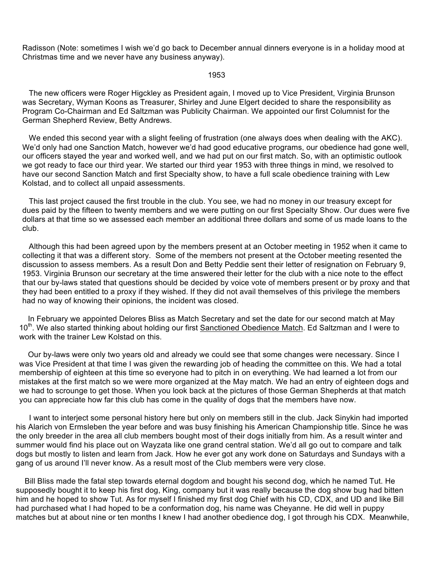Radisson (Note: sometimes I wish we'd go back to December annual dinners everyone is in a holiday mood at Christmas time and we never have any business anyway).

### 1953

 The new officers were Roger Higckley as President again, I moved up to Vice President, Virginia Brunson was Secretary, Wyman Koons as Treasurer, Shirley and June Elgert decided to share the responsibility as Program Co-Chairman and Ed Saltzman was Publicity Chairman. We appointed our first Columnist for the German Shepherd Review, Betty Andrews.

We ended this second year with a slight feeling of frustration (one always does when dealing with the AKC). We'd only had one Sanction Match, however we'd had good educative programs, our obedience had gone well, our officers stayed the year and worked well, and we had put on our first match. So, with an optimistic outlook we got ready to face our third year. We started our third year 1953 with three things in mind, we resolved to have our second Sanction Match and first Specialty show, to have a full scale obedience training with Lew Kolstad, and to collect all unpaid assessments.

 This last project caused the first trouble in the club. You see, we had no money in our treasury except for dues paid by the fifteen to twenty members and we were putting on our first Specialty Show. Our dues were five dollars at that time so we assessed each member an additional three dollars and some of us made loans to the club.

 Although this had been agreed upon by the members present at an October meeting in 1952 when it came to collecting it that was a different story. Some of the members not present at the October meeting resented the discussion to assess members. As a result Don and Betty Peddie sent their letter of resignation on February 9, 1953. Virginia Brunson our secretary at the time answered their letter for the club with a nice note to the effect that our by-laws stated that questions should be decided by voice vote of members present or by proxy and that they had been entitled to a proxy if they wished. If they did not avail themselves of this privilege the members had no way of knowing their opinions, the incident was closed.

 In February we appointed Delores Bliss as Match Secretary and set the date for our second match at May 10<sup>th</sup>. We also started thinking about holding our first Sanctioned Obedience Match. Ed Saltzman and I were to work with the trainer Lew Kolstad on this.

 Our by-laws were only two years old and already we could see that some changes were necessary. Since I was Vice President at that time I was given the rewarding job of heading the committee on this. We had a total membership of eighteen at this time so everyone had to pitch in on everything. We had learned a lot from our mistakes at the first match so we were more organized at the May match. We had an entry of eighteen dogs and we had to scrounge to get those. When you look back at the pictures of those German Shepherds at that match you can appreciate how far this club has come in the quality of dogs that the members have now.

 I want to interject some personal history here but only on members still in the club. Jack Sinykin had imported his Alarich von Ermsleben the year before and was busy finishing his American Championship title. Since he was the only breeder in the area all club members bought most of their dogs initially from him. As a result winter and summer would find his place out on Wayzata like one grand central station. We'd all go out to compare and talk dogs but mostly to listen and learn from Jack. How he ever got any work done on Saturdays and Sundays with a gang of us around I'll never know. As a result most of the Club members were very close.

 Bill Bliss made the fatal step towards eternal dogdom and bought his second dog, which he named Tut. He supposedly bought it to keep his first dog, King, company but it was really because the dog show bug had bitten him and he hoped to show Tut. As for myself I finished my first dog Chief with his CD, CDX, and UD and like Bill had purchased what I had hoped to be a conformation dog, his name was Cheyanne. He did well in puppy matches but at about nine or ten months I knew I had another obedience dog, I got through his CDX. Meanwhile,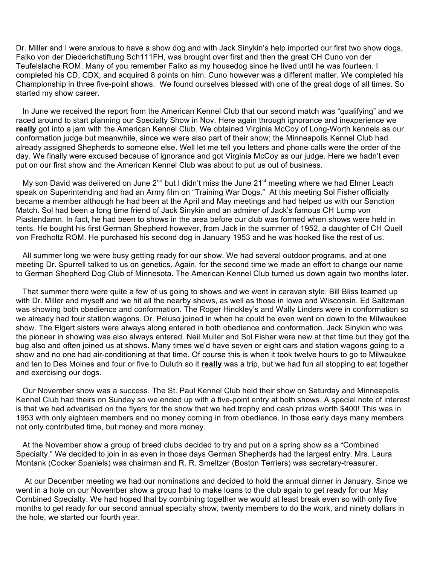Dr. Miller and I were anxious to have a show dog and with Jack Sinykin's help imported our first two show dogs, Falko von der Diederichstiftung Sch111FH, was brought over first and then the great CH Cuno von der Teufelslache ROM. Many of you remember Falko as my housedog since he lived until he was fourteen. I completed his CD, CDX, and acquired 8 points on him. Cuno however was a different matter. We completed his Championship in three five-point shows. We found ourselves blessed with one of the great dogs of all times. So started my show career.

 In June we received the report from the American Kennel Club that our second match was "qualifying" and we raced around to start planning our Specialty Show in Nov. Here again through ignorance and inexperience we **really** got into a jam with the American Kennel Club. We obtained Virginia McCoy of Long-Worth kennels as our conformation judge but meanwhile, since we were also part of their show; the Minneapolis Kennel Club had already assigned Shepherds to someone else. Well let me tell you letters and phone calls were the order of the day. We finally were excused because of ignorance and got Virginia McCoy as our judge. Here we hadn't even put on our first show and the American Kennel Club was about to put us out of business.

My son David was delivered on June  $2^{nd}$  but I didn't miss the June  $21^{st}$  meeting where we had Elmer Leach speak on Superintending and had an Army film on "Training War Dogs." At this meeting Sol Fisher officially became a member although he had been at the April and May meetings and had helped us with our Sanction Match. Sol had been a long time friend of Jack Sinykin and an admirer of Jack's famous CH Lump von Piastendamn. In fact, he had been to shows in the area before our club was formed when shows were held in tents. He bought his first German Shepherd however, from Jack in the summer of 1952, a daughter of CH Quell von Fredholtz ROM. He purchased his second dog in January 1953 and he was hooked like the rest of us.

 All summer long we were busy getting ready for our show. We had several outdoor programs, and at one meeting Dr. Spurrell talked to us on genetics. Again, for the second time we made an effort to change our name to German Shepherd Dog Club of Minnesota. The American Kennel Club turned us down again two months later.

 That summer there were quite a few of us going to shows and we went in caravan style. Bill Bliss teamed up with Dr. Miller and myself and we hit all the nearby shows, as well as those in Iowa and Wisconsin. Ed Saltzman was showing both obedience and conformation. The Roger Hinckley's and Wally Linders were in conformation so we already had four station wagons. Dr. Peluso joined in when he could he even went on down to the Milwaukee show. The Elgert sisters were always along entered in both obedience and conformation. Jack Sinykin who was the pioneer in showing was also always entered. Neil Muller and Sol Fisher were new at that time but they got the bug also and often joined us at shows. Many times we'd have seven or eight cars and station wagons going to a show and no one had air-conditioning at that time. Of course this is when it took twelve hours to go to Milwaukee and ten to Des Moines and four or five to Duluth so it **really** was a trip, but we had fun all stopping to eat together and exercising our dogs.

 Our November show was a success. The St. Paul Kennel Club held their show on Saturday and Minneapolis Kennel Club had theirs on Sunday so we ended up with a five-point entry at both shows. A special note of interest is that we had advertised on the flyers for the show that we had trophy and cash prizes worth \$400! This was in 1953 with only eighteen members and no money coming in from obedience. In those early days many members not only contributed time, but money and more money.

 At the November show a group of breed clubs decided to try and put on a spring show as a "Combined Specialty." We decided to join in as even in those days German Shepherds had the largest entry. Mrs. Laura Montank (Cocker Spaniels) was chairman and R. R. Smeltzer (Boston Terriers) was secretary-treasurer.

 At our December meeting we had our nominations and decided to hold the annual dinner in January. Since we went in a hole on our November show a group had to make loans to the club again to get ready for our May Combined Specialty. We had hoped that by combining together we would at least break even so with only five months to get ready for our second annual specialty show, twenty members to do the work, and ninety dollars in the hole, we started our fourth year.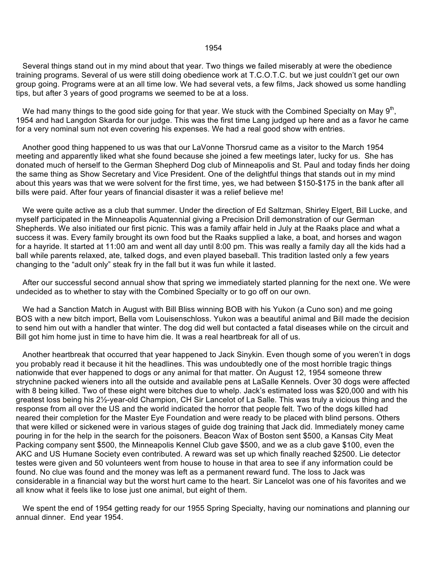### 1954

 Several things stand out in my mind about that year. Two things we failed miserably at were the obedience training programs. Several of us were still doing obedience work at T.C.O.T.C. but we just couldn't get our own group going. Programs were at an all time low. We had several vets, a few films, Jack showed us some handling tips, but after 3 years of good programs we seemed to be at a loss.

We had many things to the good side going for that year. We stuck with the Combined Specialty on May 9<sup>th</sup>, 1954 and had Langdon Skarda for our judge. This was the first time Lang judged up here and as a favor he came for a very nominal sum not even covering his expenses. We had a real good show with entries.

 Another good thing happened to us was that our LaVonne Thorsrud came as a visitor to the March 1954 meeting and apparently liked what she found because she joined a few meetings later, lucky for us. She has donated much of herself to the German Shepherd Dog club of Minneapolis and St. Paul and today finds her doing the same thing as Show Secretary and Vice President. One of the delightful things that stands out in my mind about this years was that we were solvent for the first time, yes, we had between \$150-\$175 in the bank after all bills were paid. After four years of financial disaster it was a relief believe me!

 We were quite active as a club that summer. Under the direction of Ed Saltzman, Shirley Elgert, Bill Lucke, and myself participated in the Minneapolis Aquatennial giving a Precision Drill demonstration of our German Shepherds. We also initiated our first picnic. This was a family affair held in July at the Raaks place and what a success it was. Every family brought its own food but the Raaks supplied a lake, a boat, and horses and wagon for a hayride. It started at 11:00 am and went all day until 8:00 pm. This was really a family day all the kids had a ball while parents relaxed, ate, talked dogs, and even played baseball. This tradition lasted only a few years changing to the "adult only" steak fry in the fall but it was fun while it lasted.

 After our successful second annual show that spring we immediately started planning for the next one. We were undecided as to whether to stay with the Combined Specialty or to go off on our own.

 We had a Sanction Match in August with Bill Bliss winning BOB with his Yukon (a Cuno son) and me going BOS with a new bitch import, Bella vom Louisenschloss. Yukon was a beautiful animal and Bill made the decision to send him out with a handler that winter. The dog did well but contacted a fatal diseases while on the circuit and Bill got him home just in time to have him die. It was a real heartbreak for all of us.

 Another heartbreak that occurred that year happened to Jack Sinykin. Even though some of you weren't in dogs you probably read it because it hit the headlines. This was undoubtedly one of the most horrible tragic things nationwide that ever happened to dogs or any animal for that matter. On August 12, 1954 someone threw strychnine packed wieners into all the outside and available pens at LaSalle Kennels. Over 30 dogs were affected with 8 being killed. Two of these eight were bitches due to whelp. Jack's estimated loss was \$20,000 and with his greatest loss being his 2½-year-old Champion, CH Sir Lancelot of La Salle. This was truly a vicious thing and the response from all over the US and the world indicated the horror that people felt. Two of the dogs killed had neared their completion for the Master Eye Foundation and were ready to be placed with blind persons. Others that were killed or sickened were in various stages of guide dog training that Jack did. Immediately money came pouring in for the help in the search for the poisoners. Beacon Wax of Boston sent \$500, a Kansas City Meat Packing company sent \$500, the Minneapolis Kennel Club gave \$500, and we as a club gave \$100, even the AKC and US Humane Society even contributed. A reward was set up which finally reached \$2500. Lie detector testes were given and 50 volunteers went from house to house in that area to see if any information could be found. No clue was found and the money was left as a permanent reward fund. The loss to Jack was considerable in a financial way but the worst hurt came to the heart. Sir Lancelot was one of his favorites and we all know what it feels like to lose just one animal, but eight of them.

 We spent the end of 1954 getting ready for our 1955 Spring Specialty, having our nominations and planning our annual dinner. End year 1954.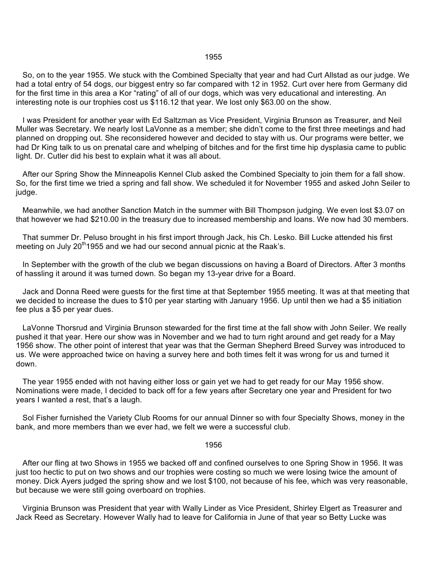#### 1955

 So, on to the year 1955. We stuck with the Combined Specialty that year and had Curt Allstad as our judge. We had a total entry of 54 dogs, our biggest entry so far compared with 12 in 1952. Curt over here from Germany did for the first time in this area a Kor "rating" of all of our dogs, which was very educational and interesting. An interesting note is our trophies cost us \$116.12 that year. We lost only \$63.00 on the show.

 I was President for another year with Ed Saltzman as Vice President, Virginia Brunson as Treasurer, and Neil Muller was Secretary. We nearly lost LaVonne as a member; she didn't come to the first three meetings and had planned on dropping out. She reconsidered however and decided to stay with us. Our programs were better, we had Dr King talk to us on prenatal care and whelping of bitches and for the first time hip dysplasia came to public light. Dr. Cutler did his best to explain what it was all about.

 After our Spring Show the Minneapolis Kennel Club asked the Combined Specialty to join them for a fall show. So, for the first time we tried a spring and fall show. We scheduled it for November 1955 and asked John Seiler to judge.

 Meanwhile, we had another Sanction Match in the summer with Bill Thompson judging. We even lost \$3.07 on that however we had \$210.00 in the treasury due to increased membership and loans. We now had 30 members.

 That summer Dr. Peluso brought in his first import through Jack, his Ch. Lesko. Bill Lucke attended his first meeting on July  $20<sup>th</sup>1955$  and we had our second annual picnic at the Raak's.

 In September with the growth of the club we began discussions on having a Board of Directors. After 3 months of hassling it around it was turned down. So began my 13-year drive for a Board.

 Jack and Donna Reed were guests for the first time at that September 1955 meeting. It was at that meeting that we decided to increase the dues to \$10 per year starting with January 1956. Up until then we had a \$5 initiation fee plus a \$5 per year dues.

 LaVonne Thorsrud and Virginia Brunson stewarded for the first time at the fall show with John Seiler. We really pushed it that year. Here our show was in November and we had to turn right around and get ready for a May 1956 show. The other point of interest that year was that the German Shepherd Breed Survey was introduced to us. We were approached twice on having a survey here and both times felt it was wrong for us and turned it down.

 The year 1955 ended with not having either loss or gain yet we had to get ready for our May 1956 show. Nominations were made, I decided to back off for a few years after Secretary one year and President for two years I wanted a rest, that's a laugh.

 Sol Fisher furnished the Variety Club Rooms for our annual Dinner so with four Specialty Shows, money in the bank, and more members than we ever had, we felt we were a successful club.

### 1956

 After our fling at two Shows in 1955 we backed off and confined ourselves to one Spring Show in 1956. It was just too hectic to put on two shows and our trophies were costing so much we were losing twice the amount of money. Dick Ayers judged the spring show and we lost \$100, not because of his fee, which was very reasonable, but because we were still going overboard on trophies.

 Virginia Brunson was President that year with Wally Linder as Vice President, Shirley Elgert as Treasurer and Jack Reed as Secretary. However Wally had to leave for California in June of that year so Betty Lucke was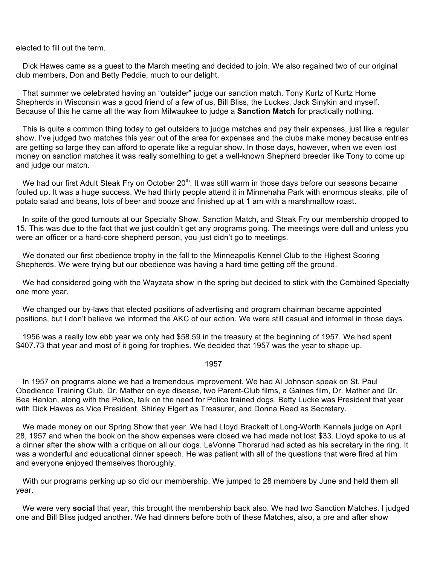elected to fill out the term.

 Dick Hawes came as a guest to the March meeting and decided to join. We also regained two of our original club members, Don and Betty Peddie, much to our delight.

 That summer we celebrated having an "outsider" judge our sanction match. Tony Kurtz of Kurtz Home Shepherds in Wisconsin was a good friend of a few of us, Bill Bliss, the Luckes, Jack Sinykin and myself. Because of this he came all the way from Milwaukee to judge a **Sanction Match** for practically nothing.

 This is quite a common thing today to get outsiders to judge matches and pay their expenses, just like a regular show. I've judged two matches this year out of the area for expenses and the clubs make money because entries are getting so large they can afford to operate like a regular show. In those days, however, when we even lost money on sanction matches it was really something to get a well-known Shepherd breeder like Tony to come up and judge our match.

We had our first Adult Steak Fry on October 20<sup>th</sup>. It was still warm in those days before our seasons became fouled up. It was a huge success. We had thirty people attend it in Minnehaha Park with enormous steaks, pile of potato salad and beans, lots of beer and booze and finished up at 1 am with a marshmallow roast.

 In spite of the good turnouts at our Specialty Show, Sanction Match, and Steak Fry our membership dropped to 15. This was due to the fact that we just couldn't get any programs going. The meetings were dull and unless you were an officer or a hard-core shepherd person, you just didn't go to meetings.

 We donated our first obedience trophy in the fall to the Minneapolis Kennel Club to the Highest Scoring Shepherds. We were trying but our obedience was having a hard time getting off the ground.

 We had considered going with the Wayzata show in the spring but decided to stick with the Combined Specialty one more year.

 We changed our by-laws that elected positions of advertising and program chairman became appointed positions, but I don't believe we informed the AKC of our action. We were still casual and informal in those days.

 1956 was a really low ebb year we only had \$58.59 in the treasury at the beginning of 1957. We had spent \$407.73 that year and most of it going for trophies. We decided that 1957 was the year to shape up.

#### 1957

 In 1957 on programs alone we had a tremendous improvement. We had Al Johnson speak on St. Paul Obedience Training Club, Dr. Mather on eye disease, two Parent-Club films, a Gaines film, Dr. Mather and Dr. Bea Hanlon, along with the Police, talk on the need for Police trained dogs. Betty Lucke was President that year with Dick Hawes as Vice President, Shirley Elgert as Treasurer, and Donna Reed as Secretary.

 We made money on our Spring Show that year. We had Lloyd Brackett of Long-Worth Kennels judge on April 28, 1957 and when the book on the show expenses were closed we had made not lost \$33. Lloyd spoke to us at a dinner after the show with a critique on all our dogs. LeVonne Thorsrud had acted as his secretary in the ring. It was a wonderful and educational dinner speech. He was patient with all of the questions that were fired at him and everyone enjoyed themselves thoroughly.

 With our programs perking up so did our membership. We jumped to 28 members by June and held them all year.

 We were very **social** that year, this brought the membership back also. We had two Sanction Matches. I judged one and Bill Bliss judged another. We had dinners before both of these Matches, also, a pre and after show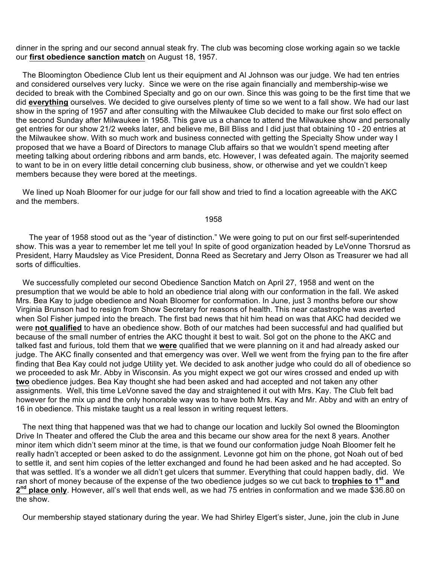dinner in the spring and our second annual steak fry. The club was becoming close working again so we tackle our **first obedience sanction match** on August 18, 1957.

 The Bloomington Obedience Club lent us their equipment and Al Johnson was our judge. We had ten entries and considered ourselves very lucky. Since we were on the rise again financially and membership-wise we decided to break with the Combined Specialty and go on our own. Since this was going to be the first time that we did **everything** ourselves. We decided to give ourselves plenty of time so we went to a fall show. We had our last show in the spring of 1957 and after consulting with the Milwaukee Club decided to make our first solo effect on the second Sunday after Milwaukee in 1958. This gave us a chance to attend the Milwaukee show and personally get entries for our show 21/2 weeks later, and believe me, Bill Bliss and I did just that obtaining 10 - 20 entries at the Milwaukee show. With so much work and business connected with getting the Specialty Show under way I proposed that we have a Board of Directors to manage Club affairs so that we wouldn't spend meeting after meeting talking about ordering ribbons and arm bands, etc. However, I was defeated again. The majority seemed to want to be in on every little detail concerning club business, show, or otherwise and yet we couldn't keep members because they were bored at the meetings.

 We lined up Noah Bloomer for our judge for our fall show and tried to find a location agreeable with the AKC and the members.

## 1958

 The year of 1958 stood out as the "year of distinction." We were going to put on our first self-superintended show. This was a year to remember let me tell you! In spite of good organization headed by LeVonne Thorsrud as President, Harry Maudsley as Vice President, Donna Reed as Secretary and Jerry Olson as Treasurer we had all sorts of difficulties.

 We successfully completed our second Obedience Sanction Match on April 27, 1958 and went on the presumption that we would be able to hold an obedience trial along with our conformation in the fall. We asked Mrs. Bea Kay to judge obedience and Noah Bloomer for conformation. In June, just 3 months before our show Virginia Brunson had to resign from Show Secretary for reasons of health. This near catastrophe was averted when Sol Fisher jumped into the breach. The first bad news that hit him head on was that AKC had decided we were **not qualified** to have an obedience show. Both of our matches had been successful and had qualified but because of the small number of entries the AKC thought it best to wait. Sol got on the phone to the AKC and talked fast and furious, told them that we **were** qualified that we were planning on it and had already asked our judge. The AKC finally consented and that emergency was over. Well we went from the frying pan to the fire after finding that Bea Kay could not judge Utility yet. We decided to ask another judge who could do all of obedience so we proceeded to ask Mr. Abby in Wisconsin. As you might expect we got our wires crossed and ended up with **two** obedience judges. Bea Kay thought she had been asked and had accepted and not taken any other assignments. Well, this time LeVonne saved the day and straightened it out with Mrs. Kay. The Club felt bad however for the mix up and the only honorable way was to have both Mrs. Kay and Mr. Abby and with an entry of 16 in obedience. This mistake taught us a real lesson in writing request letters.

 The next thing that happened was that we had to change our location and luckily Sol owned the Bloomington Drive In Theater and offered the Club the area and this became our show area for the next 8 years. Another minor item which didn't seem minor at the time, is that we found our conformation judge Noah Bloomer felt he really hadn't accepted or been asked to do the assignment. Levonne got him on the phone, got Noah out of bed to settle it, and sent him copies of the letter exchanged and found he had been asked and he had accepted. So that was settled. It's a wonder we all didn't get ulcers that summer. Everything that could happen badly, did. We ran short of money because of the expense of the two obedience judges so we cut back to **trophies to 1st and 2nd place only**. However, all's well that ends well, as we had 75 entries in conformation and we made \$36.80 on the show.

Our membership stayed stationary during the year. We had Shirley Elgert's sister, June, join the club in June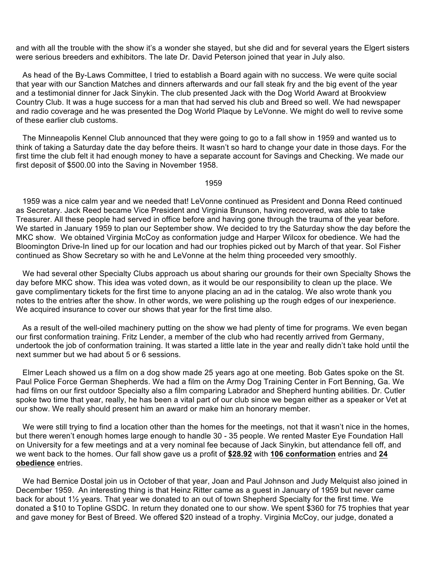and with all the trouble with the show it's a wonder she stayed, but she did and for several years the Elgert sisters were serious breeders and exhibitors. The late Dr. David Peterson joined that year in July also.

 As head of the By-Laws Committee, I tried to establish a Board again with no success. We were quite social that year with our Sanction Matches and dinners afterwards and our fall steak fry and the big event of the year and a testimonial dinner for Jack Sinykin. The club presented Jack with the Dog World Award at Brookview Country Club. It was a huge success for a man that had served his club and Breed so well. We had newspaper and radio coverage and he was presented the Dog World Plaque by LeVonne. We might do well to revive some of these earlier club customs.

 The Minneapolis Kennel Club announced that they were going to go to a fall show in 1959 and wanted us to think of taking a Saturday date the day before theirs. It wasn't so hard to change your date in those days. For the first time the club felt it had enough money to have a separate account for Savings and Checking. We made our first deposit of \$500.00 into the Saving in November 1958.

1959

 1959 was a nice calm year and we needed that! LeVonne continued as President and Donna Reed continued as Secretary. Jack Reed became Vice President and Virginia Brunson, having recovered, was able to take Treasurer. All these people had served in office before and having gone through the trauma of the year before. We started in January 1959 to plan our September show. We decided to try the Saturday show the day before the MKC show. We obtained Virginia McCoy as conformation judge and Harper Wilcox for obedience. We had the Bloomington Drive-In lined up for our location and had our trophies picked out by March of that year. Sol Fisher continued as Show Secretary so with he and LeVonne at the helm thing proceeded very smoothly.

 We had several other Specialty Clubs approach us about sharing our grounds for their own Specialty Shows the day before MKC show. This idea was voted down, as it would be our responsibility to clean up the place. We gave complimentary tickets for the first time to anyone placing an ad in the catalog. We also wrote thank you notes to the entries after the show. In other words, we were polishing up the rough edges of our inexperience. We acquired insurance to cover our shows that year for the first time also.

 As a result of the well-oiled machinery putting on the show we had plenty of time for programs. We even began our first conformation training. Fritz Lender, a member of the club who had recently arrived from Germany, undertook the job of conformation training. It was started a little late in the year and really didn't take hold until the next summer but we had about 5 or 6 sessions.

 Elmer Leach showed us a film on a dog show made 25 years ago at one meeting. Bob Gates spoke on the St. Paul Police Force German Shepherds. We had a film on the Army Dog Training Center in Fort Benning, Ga. We had films on our first outdoor Specialty also a film comparing Labrador and Shepherd hunting abilities. Dr. Cutler spoke two time that year, really, he has been a vital part of our club since we began either as a speaker or Vet at our show. We really should present him an award or make him an honorary member.

 We were still trying to find a location other than the homes for the meetings, not that it wasn't nice in the homes, but there weren't enough homes large enough to handle 30 - 35 people. We rented Master Eye Foundation Hall on University for a few meetings and at a very nominal fee because of Jack Sinykin, but attendance fell off, and we went back to the homes. Our fall show gave us a profit of **\$28.92** with **106 conformation** entries and **24 obedience** entries.

 We had Bernice Dostal join us in October of that year, Joan and Paul Johnson and Judy Melquist also joined in December 1959. An interesting thing is that Heinz Ritter came as a guest in January of 1959 but never came back for about 1½ years. That year we donated to an out of town Shepherd Specialty for the first time. We donated a \$10 to Topline GSDC. In return they donated one to our show. We spent \$360 for 75 trophies that year and gave money for Best of Breed. We offered \$20 instead of a trophy. Virginia McCoy, our judge, donated a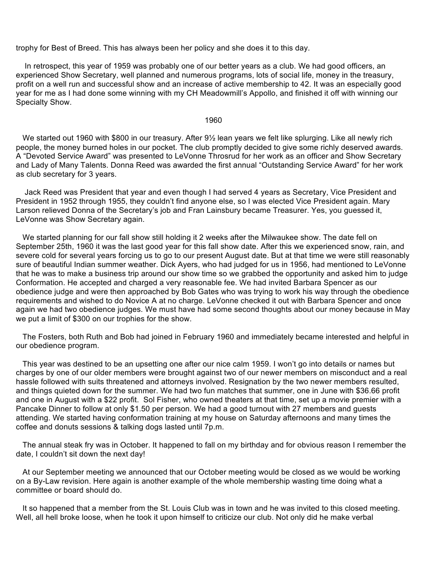trophy for Best of Breed. This has always been her policy and she does it to this day.

 In retrospect, this year of 1959 was probably one of our better years as a club. We had good officers, an experienced Show Secretary, well planned and numerous programs, lots of social life, money in the treasury, profit on a well run and successful show and an increase of active membership to 42. It was an especially good year for me as I had done some winning with my CH Meadowmill's Appollo, and finished it off with winning our Specialty Show.

#### 1960

 We started out 1960 with \$800 in our treasury. After 9½ lean years we felt like splurging. Like all newly rich people, the money burned holes in our pocket. The club promptly decided to give some richly deserved awards. A "Devoted Service Award" was presented to LeVonne Throsrud for her work as an officer and Show Secretary and Lady of Many Talents. Donna Reed was awarded the first annual "Outstanding Service Award" for her work as club secretary for 3 years.

 Jack Reed was President that year and even though I had served 4 years as Secretary, Vice President and President in 1952 through 1955, they couldn't find anyone else, so I was elected Vice President again. Mary Larson relieved Donna of the Secretary's job and Fran Lainsbury became Treasurer. Yes, you guessed it, LeVonne was Show Secretary again.

 We started planning for our fall show still holding it 2 weeks after the Milwaukee show. The date fell on September 25th, 1960 it was the last good year for this fall show date. After this we experienced snow, rain, and severe cold for several years forcing us to go to our present August date. But at that time we were still reasonably sure of beautiful Indian summer weather. Dick Ayers, who had judged for us in 1956, had mentioned to LeVonne that he was to make a business trip around our show time so we grabbed the opportunity and asked him to judge Conformation. He accepted and charged a very reasonable fee. We had invited Barbara Spencer as our obedience judge and were then approached by Bob Gates who was trying to work his way through the obedience requirements and wished to do Novice A at no charge. LeVonne checked it out with Barbara Spencer and once again we had two obedience judges. We must have had some second thoughts about our money because in May we put a limit of \$300 on our trophies for the show.

 The Fosters, both Ruth and Bob had joined in February 1960 and immediately became interested and helpful in our obedience program.

 This year was destined to be an upsetting one after our nice calm 1959. I won't go into details or names but charges by one of our older members were brought against two of our newer members on misconduct and a real hassle followed with suits threatened and attorneys involved. Resignation by the two newer members resulted, and things quieted down for the summer. We had two fun matches that summer, one in June with \$36.66 profit and one in August with a \$22 profit. Sol Fisher, who owned theaters at that time, set up a movie premier with a Pancake Dinner to follow at only \$1.50 per person. We had a good turnout with 27 members and guests attending. We started having conformation training at my house on Saturday afternoons and many times the coffee and donuts sessions & talking dogs lasted until 7p.m.

 The annual steak fry was in October. It happened to fall on my birthday and for obvious reason I remember the date, I couldn't sit down the next day!

 At our September meeting we announced that our October meeting would be closed as we would be working on a By-Law revision. Here again is another example of the whole membership wasting time doing what a committee or board should do.

 It so happened that a member from the St. Louis Club was in town and he was invited to this closed meeting. Well, all hell broke loose, when he took it upon himself to criticize our club. Not only did he make verbal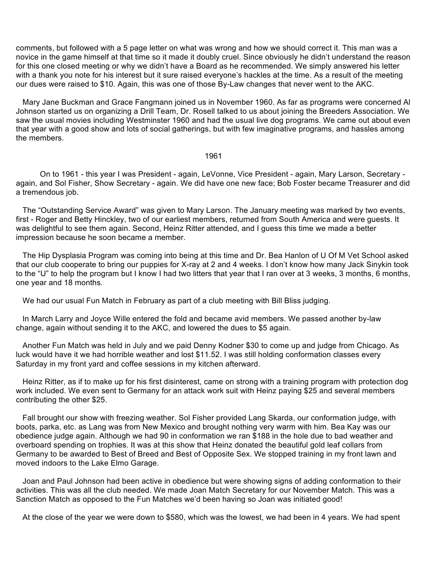comments, but followed with a 5 page letter on what was wrong and how we should correct it. This man was a novice in the game himself at that time so it made it doubly cruel. Since obviously he didn't understand the reason for this one closed meeting or why we didn't have a Board as he recommended. We simply answered his letter with a thank you note for his interest but it sure raised everyone's hackles at the time. As a result of the meeting our dues were raised to \$10. Again, this was one of those By-Law changes that never went to the AKC.

 Mary Jane Buckman and Grace Fangmann joined us in November 1960. As far as programs were concerned Al Johnson started us on organizing a Drill Team, Dr. Rosell talked to us about joining the Breeders Association. We saw the usual movies including Westminster 1960 and had the usual live dog programs. We came out about even that year with a good show and lots of social gatherings, but with few imaginative programs, and hassles among the members.

## 1961

 On to 1961 - this year I was President - again, LeVonne, Vice President - again, Mary Larson, Secretary again, and Sol Fisher, Show Secretary - again. We did have one new face; Bob Foster became Treasurer and did a tremendous job.

 The "Outstanding Service Award" was given to Mary Larson. The January meeting was marked by two events, first - Roger and Betty Hinckley, two of our earliest members, returned from South America and were guests. It was delightful to see them again. Second, Heinz Ritter attended, and I guess this time we made a better impression because he soon became a member.

 The Hip Dysplasia Program was coming into being at this time and Dr. Bea Hanlon of U Of M Vet School asked that our club cooperate to bring our puppies for X-ray at 2 and 4 weeks. I don't know how many Jack Sinykin took to the "U" to help the program but I know I had two litters that year that I ran over at 3 weeks, 3 months, 6 months, one year and 18 months.

We had our usual Fun Match in February as part of a club meeting with Bill Bliss judging.

 In March Larry and Joyce Wille entered the fold and became avid members. We passed another by-law change, again without sending it to the AKC, and lowered the dues to \$5 again.

 Another Fun Match was held in July and we paid Denny Kodner \$30 to come up and judge from Chicago. As luck would have it we had horrible weather and lost \$11.52. I was still holding conformation classes every Saturday in my front yard and coffee sessions in my kitchen afterward.

 Heinz Ritter, as if to make up for his first disinterest, came on strong with a training program with protection dog work included. We even sent to Germany for an attack work suit with Heinz paying \$25 and several members contributing the other \$25.

 Fall brought our show with freezing weather. Sol Fisher provided Lang Skarda, our conformation judge, with boots, parka, etc. as Lang was from New Mexico and brought nothing very warm with him. Bea Kay was our obedience judge again. Although we had 90 in conformation we ran \$188 in the hole due to bad weather and overboard spending on trophies. It was at this show that Heinz donated the beautiful gold leaf collars from Germany to be awarded to Best of Breed and Best of Opposite Sex. We stopped training in my front lawn and moved indoors to the Lake Elmo Garage.

 Joan and Paul Johnson had been active in obedience but were showing signs of adding conformation to their activities. This was all the club needed. We made Joan Match Secretary for our November Match. This was a Sanction Match as opposed to the Fun Matches we'd been having so Joan was initiated good!

At the close of the year we were down to \$580, which was the lowest, we had been in 4 years. We had spent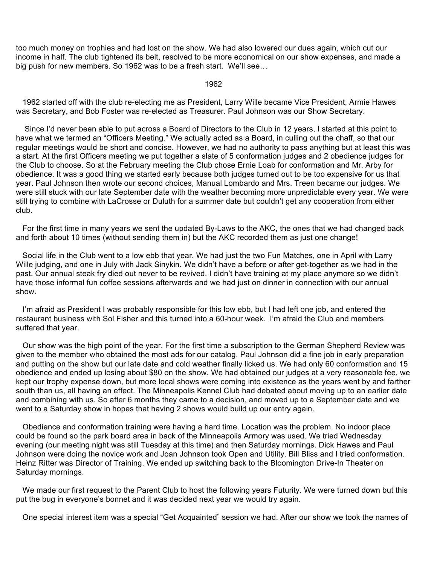too much money on trophies and had lost on the show. We had also lowered our dues again, which cut our income in half. The club tightened its belt, resolved to be more economical on our show expenses, and made a big push for new members. So 1962 was to be a fresh start. We'll see…

## 1962

 1962 started off with the club re-electing me as President, Larry Wille became Vice President, Armie Hawes was Secretary, and Bob Foster was re-elected as Treasurer. Paul Johnson was our Show Secretary.

 Since I'd never been able to put across a Board of Directors to the Club in 12 years, I started at this point to have what we termed an "Officers Meeting." We actually acted as a Board, in culling out the chaff, so that our regular meetings would be short and concise. However, we had no authority to pass anything but at least this was a start. At the first Officers meeting we put together a slate of 5 conformation judges and 2 obedience judges for the Club to choose. So at the February meeting the Club chose Ernie Loab for conformation and Mr. Arby for obedience. It was a good thing we started early because both judges turned out to be too expensive for us that year. Paul Johnson then wrote our second choices, Manual Lombardo and Mrs. Treen became our judges. We were still stuck with our late September date with the weather becoming more unpredictable every year. We were still trying to combine with LaCrosse or Duluth for a summer date but couldn't get any cooperation from either club.

 For the first time in many years we sent the updated By-Laws to the AKC, the ones that we had changed back and forth about 10 times (without sending them in) but the AKC recorded them as just one change!

 Social life in the Club went to a low ebb that year. We had just the two Fun Matches, one in April with Larry Wille judging, and one in July with Jack Sinykin. We didn't have a before or after get-together as we had in the past. Our annual steak fry died out never to be revived. I didn't have training at my place anymore so we didn't have those informal fun coffee sessions afterwards and we had just on dinner in connection with our annual show.

 I'm afraid as President I was probably responsible for this low ebb, but I had left one job, and entered the restaurant business with Sol Fisher and this turned into a 60-hour week. I'm afraid the Club and members suffered that year.

 Our show was the high point of the year. For the first time a subscription to the German Shepherd Review was given to the member who obtained the most ads for our catalog. Paul Johnson did a fine job in early preparation and putting on the show but our late date and cold weather finally licked us. We had only 60 conformation and 15 obedience and ended up losing about \$80 on the show. We had obtained our judges at a very reasonable fee, we kept our trophy expense down, but more local shows were coming into existence as the years went by and farther south than us, all having an effect. The Minneapolis Kennel Club had debated about moving up to an earlier date and combining with us. So after 6 months they came to a decision, and moved up to a September date and we went to a Saturday show in hopes that having 2 shows would build up our entry again.

 Obedience and conformation training were having a hard time. Location was the problem. No indoor place could be found so the park board area in back of the Minneapolis Armory was used. We tried Wednesday evening (our meeting night was still Tuesday at this time) and then Saturday mornings. Dick Hawes and Paul Johnson were doing the novice work and Joan Johnson took Open and Utility. Bill Bliss and I tried conformation. Heinz Ritter was Director of Training. We ended up switching back to the Bloomington Drive-In Theater on Saturday mornings.

 We made our first request to the Parent Club to host the following years Futurity. We were turned down but this put the bug in everyone's bonnet and it was decided next year we would try again.

One special interest item was a special "Get Acquainted" session we had. After our show we took the names of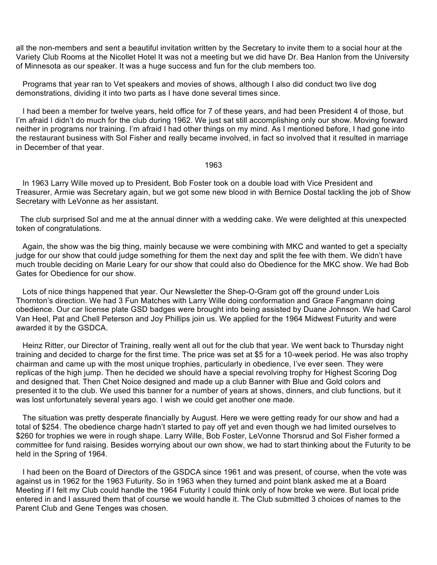all the non-members and sent a beautiful invitation written by the Secretary to invite them to a social hour at the Variety Club Rooms at the Nicollet Hotel It was not a meeting but we did have Dr. Bea Hanlon from the University of Minnesota as our speaker. It was a huge success and fun for the club members too.

 Programs that year ran to Vet speakers and movies of shows, although I also did conduct two live dog demonstrations, dividing it into two parts as I have done several times since.

 I had been a member for twelve years, held office for 7 of these years, and had been President 4 of those, but I'm afraid I didn't do much for the club during 1962. We just sat still accomplishing only our show. Moving forward neither in programs nor training. I'm afraid I had other things on my mind. As I mentioned before, I had gone into the restaurant business with Sol Fisher and really became involved, in fact so involved that it resulted in marriage in December of that year.

1963

 In 1963 Larry Wille moved up to President, Bob Foster took on a double load with Vice President and Treasurer, Armie was Secretary again, but we got some new blood in with Bernice Dostal tackling the job of Show Secretary with LeVonne as her assistant.

 The club surprised Sol and me at the annual dinner with a wedding cake. We were delighted at this unexpected token of congratulations.

 Again, the show was the big thing, mainly because we were combining with MKC and wanted to get a specialty judge for our show that could judge something for them the next day and split the fee with them. We didn't have much trouble deciding on Marie Leary for our show that could also do Obedience for the MKC show. We had Bob Gates for Obedience for our show.

 Lots of nice things happened that year. Our Newsletter the Shep-O-Gram got off the ground under Lois Thornton's direction. We had 3 Fun Matches with Larry Wille doing conformation and Grace Fangmann doing obedience. Our car license plate GSD badges were brought into being assisted by Duane Johnson. We had Carol Van Heel, Pat and Chell Peterson and Joy Phillips join us. We applied for the 1964 Midwest Futurity and were awarded it by the GSDCA.

 Heinz Ritter, our Director of Training, really went all out for the club that year. We went back to Thursday night training and decided to charge for the first time. The price was set at \$5 for a 10-week period. He was also trophy chairman and came up with the most unique trophies, particularly in obedience, I've ever seen. They were replicas of the high jump. Then he decided we should have a special revolving trophy for Highest Scoring Dog and designed that. Then Chet Noice designed and made up a club Banner with Blue and Gold colors and presented it to the club. We used this banner for a number of years at shows, dinners, and club functions, but it was lost unfortunately several years ago. I wish we could get another one made.

 The situation was pretty desperate financially by August. Here we were getting ready for our show and had a total of \$254. The obedience charge hadn't started to pay off yet and even though we had limited ourselves to \$260 for trophies we were in rough shape. Larry Wille, Bob Foster, LeVonne Thorsrud and Sol Fisher formed a committee for fund raising. Besides worrying about our own show, we had to start thinking about the Futurity to be held in the Spring of 1964.

 I had been on the Board of Directors of the GSDCA since 1961 and was present, of course, when the vote was against us in 1962 for the 1963 Futurity. So in 1963 when they turned and point blank asked me at a Board Meeting if I felt my Club could handle the 1964 Futurity I could think only of how broke we were. But local pride entered in and I assured them that of course we would handle it. The Club submitted 3 choices of names to the Parent Club and Gene Tenges was chosen.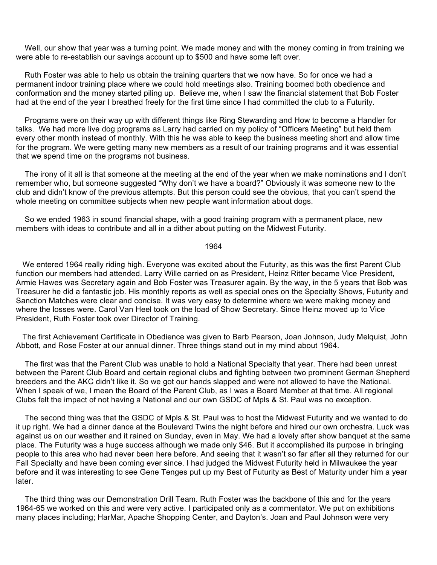Well, our show that year was a turning point. We made money and with the money coming in from training we were able to re-establish our savings account up to \$500 and have some left over.

 Ruth Foster was able to help us obtain the training quarters that we now have. So for once we had a permanent indoor training place where we could hold meetings also. Training boomed both obedience and conformation and the money started piling up. Believe me, when I saw the financial statement that Bob Foster had at the end of the year I breathed freely for the first time since I had committed the club to a Futurity.

 Programs were on their way up with different things like Ring Stewarding and How to become a Handler for talks. We had more live dog programs as Larry had carried on my policy of "Officers Meeting" but held them every other month instead of monthly. With this he was able to keep the business meeting short and allow time for the program. We were getting many new members as a result of our training programs and it was essential that we spend time on the programs not business.

 The irony of it all is that someone at the meeting at the end of the year when we make nominations and I don't remember who, but someone suggested "Why don't we have a board?" Obviously it was someone new to the club and didn't know of the previous attempts. But this person could see the obvious, that you can't spend the whole meeting on committee subjects when new people want information about dogs.

 So we ended 1963 in sound financial shape, with a good training program with a permanent place, new members with ideas to contribute and all in a dither about putting on the Midwest Futurity.

1964

 We entered 1964 really riding high. Everyone was excited about the Futurity, as this was the first Parent Club function our members had attended. Larry Wille carried on as President, Heinz Ritter became Vice President, Armie Hawes was Secretary again and Bob Foster was Treasurer again. By the way, in the 5 years that Bob was Treasurer he did a fantastic job. His monthly reports as well as special ones on the Specialty Shows, Futurity and Sanction Matches were clear and concise. It was very easy to determine where we were making money and where the losses were. Carol Van Heel took on the load of Show Secretary. Since Heinz moved up to Vice President, Ruth Foster took over Director of Training.

 The first Achievement Certificate in Obedience was given to Barb Pearson, Joan Johnson, Judy Melquist, John Abbott, and Rose Foster at our annual dinner. Three things stand out in my mind about 1964.

 The first was that the Parent Club was unable to hold a National Specialty that year. There had been unrest between the Parent Club Board and certain regional clubs and fighting between two prominent German Shepherd breeders and the AKC didn't like it. So we got our hands slapped and were not allowed to have the National. When I speak of we, I mean the Board of the Parent Club, as I was a Board Member at that time. All regional Clubs felt the impact of not having a National and our own GSDC of Mpls & St. Paul was no exception.

 The second thing was that the GSDC of Mpls & St. Paul was to host the Midwest Futurity and we wanted to do it up right. We had a dinner dance at the Boulevard Twins the night before and hired our own orchestra. Luck was against us on our weather and it rained on Sunday, even in May. We had a lovely after show banquet at the same place. The Futurity was a huge success although we made only \$46. But it accomplished its purpose in bringing people to this area who had never been here before. And seeing that it wasn't so far after all they returned for our Fall Specialty and have been coming ever since. I had judged the Midwest Futurity held in Milwaukee the year before and it was interesting to see Gene Tenges put up my Best of Futurity as Best of Maturity under him a year later.

 The third thing was our Demonstration Drill Team. Ruth Foster was the backbone of this and for the years 1964-65 we worked on this and were very active. I participated only as a commentator. We put on exhibitions many places including; HarMar, Apache Shopping Center, and Dayton's. Joan and Paul Johnson were very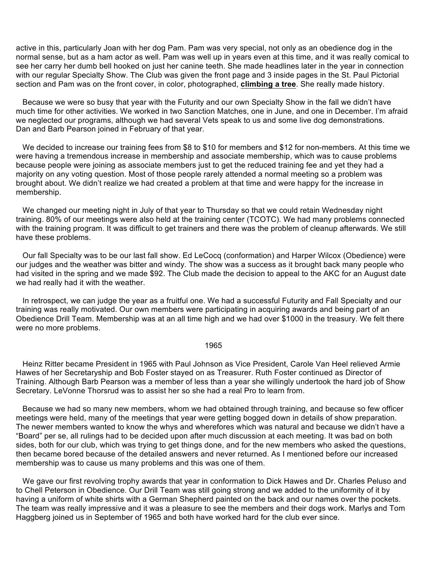active in this, particularly Joan with her dog Pam. Pam was very special, not only as an obedience dog in the normal sense, but as a ham actor as well. Pam was well up in years even at this time, and it was really comical to see her carry her dumb bell hooked on just her canine teeth. She made headlines later in the year in connection with our regular Specialty Show. The Club was given the front page and 3 inside pages in the St. Paul Pictorial section and Pam was on the front cover, in color, photographed, **climbing a tree**. She really made history.

 Because we were so busy that year with the Futurity and our own Specialty Show in the fall we didn't have much time for other activities. We worked in two Sanction Matches, one in June, and one in December. I'm afraid we neglected our programs, although we had several Vets speak to us and some live dog demonstrations. Dan and Barb Pearson joined in February of that year.

We decided to increase our training fees from \$8 to \$10 for members and \$12 for non-members. At this time we were having a tremendous increase in membership and associate membership, which was to cause problems because people were joining as associate members just to get the reduced training fee and yet they had a majority on any voting question. Most of those people rarely attended a normal meeting so a problem was brought about. We didn't realize we had created a problem at that time and were happy for the increase in membership.

 We changed our meeting night in July of that year to Thursday so that we could retain Wednesday night training. 80% of our meetings were also held at the training center (TCOTC). We had many problems connected with the training program. It was difficult to get trainers and there was the problem of cleanup afterwards. We still have these problems.

 Our fall Specialty was to be our last fall show. Ed LeCocq (conformation) and Harper Wilcox (Obedience) were our judges and the weather was bitter and windy. The show was a success as it brought back many people who had visited in the spring and we made \$92. The Club made the decision to appeal to the AKC for an August date we had really had it with the weather.

 In retrospect, we can judge the year as a fruitful one. We had a successful Futurity and Fall Specialty and our training was really motivated. Our own members were participating in acquiring awards and being part of an Obedience Drill Team. Membership was at an all time high and we had over \$1000 in the treasury. We felt there were no more problems.

## 1965

 Heinz Ritter became President in 1965 with Paul Johnson as Vice President, Carole Van Heel relieved Armie Hawes of her Secretaryship and Bob Foster stayed on as Treasurer. Ruth Foster continued as Director of Training. Although Barb Pearson was a member of less than a year she willingly undertook the hard job of Show Secretary. LeVonne Thorsrud was to assist her so she had a real Pro to learn from.

 Because we had so many new members, whom we had obtained through training, and because so few officer meetings were held, many of the meetings that year were getting bogged down in details of show preparation. The newer members wanted to know the whys and wherefores which was natural and because we didn't have a "Board" per se, all rulings had to be decided upon after much discussion at each meeting. It was bad on both sides, both for our club, which was trying to get things done, and for the new members who asked the questions, then became bored because of the detailed answers and never returned. As I mentioned before our increased membership was to cause us many problems and this was one of them.

 We gave our first revolving trophy awards that year in conformation to Dick Hawes and Dr. Charles Peluso and to Chell Peterson in Obedience. Our Drill Team was still going strong and we added to the uniformity of it by having a uniform of white shirts with a German Shepherd painted on the back and our names over the pockets. The team was really impressive and it was a pleasure to see the members and their dogs work. Marlys and Tom Haggberg joined us in September of 1965 and both have worked hard for the club ever since.